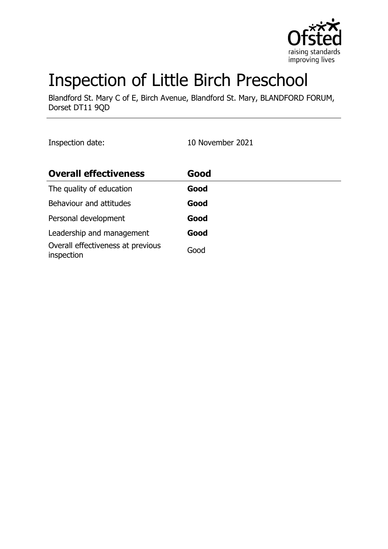

# Inspection of Little Birch Preschool

Blandford St. Mary C of E, Birch Avenue, Blandford St. Mary, BLANDFORD FORUM, Dorset DT11 9QD

Inspection date: 10 November 2021

| <b>Overall effectiveness</b>                    | Good |
|-------------------------------------------------|------|
| The quality of education                        | Good |
| Behaviour and attitudes                         | Good |
| Personal development                            | Good |
| Leadership and management                       | Good |
| Overall effectiveness at previous<br>inspection | Good |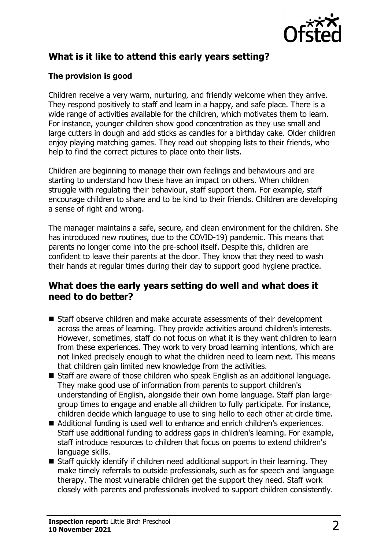

# **What is it like to attend this early years setting?**

#### **The provision is good**

Children receive a very warm, nurturing, and friendly welcome when they arrive. They respond positively to staff and learn in a happy, and safe place. There is a wide range of activities available for the children, which motivates them to learn. For instance, younger children show good concentration as they use small and large cutters in dough and add sticks as candles for a birthday cake. Older children enjoy playing matching games. They read out shopping lists to their friends, who help to find the correct pictures to place onto their lists.

Children are beginning to manage their own feelings and behaviours and are starting to understand how these have an impact on others. When children struggle with regulating their behaviour, staff support them. For example, staff encourage children to share and to be kind to their friends. Children are developing a sense of right and wrong.

The manager maintains a safe, secure, and clean environment for the children. She has introduced new routines, due to the COVID-19) pandemic. This means that parents no longer come into the pre-school itself. Despite this, children are confident to leave their parents at the door. They know that they need to wash their hands at regular times during their day to support good hygiene practice.

#### **What does the early years setting do well and what does it need to do better?**

- Staff observe children and make accurate assessments of their development across the areas of learning. They provide activities around children's interests. However, sometimes, staff do not focus on what it is they want children to learn from these experiences. They work to very broad learning intentions, which are not linked precisely enough to what the children need to learn next. This means that children gain limited new knowledge from the activities.
- Staff are aware of those children who speak English as an additional language. They make good use of information from parents to support children's understanding of English, alongside their own home language. Staff plan largegroup times to engage and enable all children to fully participate. For instance, children decide which language to use to sing hello to each other at circle time.
- Additional funding is used well to enhance and enrich children's experiences. Staff use additional funding to address gaps in children's learning. For example, staff introduce resources to children that focus on poems to extend children's language skills.
- $\blacksquare$  Staff quickly identify if children need additional support in their learning. They make timely referrals to outside professionals, such as for speech and language therapy. The most vulnerable children get the support they need. Staff work closely with parents and professionals involved to support children consistently.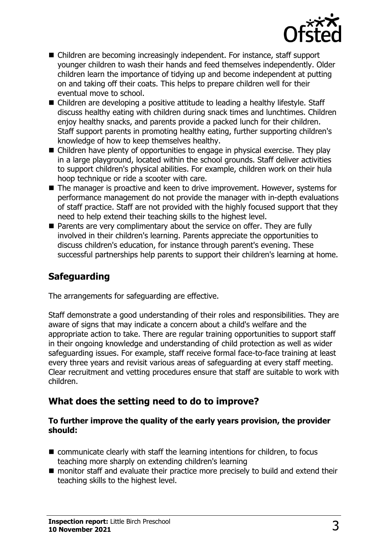

- Children are becoming increasingly independent. For instance, staff support younger children to wash their hands and feed themselves independently. Older children learn the importance of tidying up and become independent at putting on and taking off their coats. This helps to prepare children well for their eventual move to school.
- Children are developing a positive attitude to leading a healthy lifestyle. Staff discuss healthy eating with children during snack times and lunchtimes. Children enjoy healthy snacks, and parents provide a packed lunch for their children. Staff support parents in promoting healthy eating, further supporting children's knowledge of how to keep themselves healthy.
- $\blacksquare$  Children have plenty of opportunities to engage in physical exercise. They play in a large playground, located within the school grounds. Staff deliver activities to support children's physical abilities. For example, children work on their hula hoop technique or ride a scooter with care.
- $\blacksquare$  The manager is proactive and keen to drive improvement. However, systems for performance management do not provide the manager with in-depth evaluations of staff practice. Staff are not provided with the highly focused support that they need to help extend their teaching skills to the highest level.
- $\blacksquare$  Parents are very complimentary about the service on offer. They are fully involved in their children's learning. Parents appreciate the opportunities to discuss children's education, for instance through parent's evening. These successful partnerships help parents to support their children's learning at home.

## **Safeguarding**

The arrangements for safeguarding are effective.

Staff demonstrate a good understanding of their roles and responsibilities. They are aware of signs that may indicate a concern about a child's welfare and the appropriate action to take. There are regular training opportunities to support staff in their ongoing knowledge and understanding of child protection as well as wider safeguarding issues. For example, staff receive formal face-to-face training at least every three years and revisit various areas of safeguarding at every staff meeting. Clear recruitment and vetting procedures ensure that staff are suitable to work with children.

#### **What does the setting need to do to improve?**

#### **To further improve the quality of the early years provision, the provider should:**

- $\blacksquare$  communicate clearly with staff the learning intentions for children, to focus teaching more sharply on extending children's learning
- $\blacksquare$  monitor staff and evaluate their practice more precisely to build and extend their teaching skills to the highest level.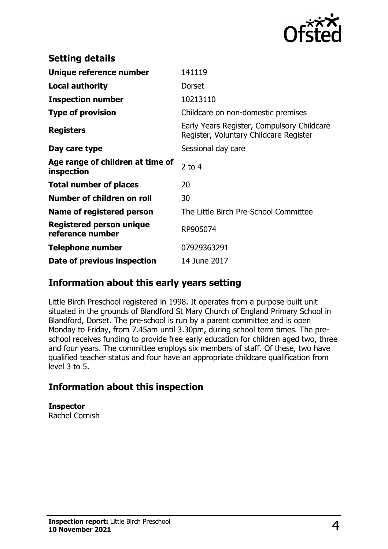

| <b>Setting details</b>                              |                                                                                      |
|-----------------------------------------------------|--------------------------------------------------------------------------------------|
| Unique reference number                             | 141119                                                                               |
| <b>Local authority</b>                              | <b>Dorset</b>                                                                        |
| <b>Inspection number</b>                            | 10213110                                                                             |
| <b>Type of provision</b>                            | Childcare on non-domestic premises                                                   |
| <b>Registers</b>                                    | Early Years Register, Compulsory Childcare<br>Register, Voluntary Childcare Register |
| Day care type                                       | Sessional day care                                                                   |
| Age range of children at time of<br>inspection      | $2$ to 4                                                                             |
| <b>Total number of places</b>                       | 20                                                                                   |
| Number of children on roll                          | 30                                                                                   |
| Name of registered person                           | The Little Birch Pre-School Committee                                                |
| <b>Registered person unique</b><br>reference number | RP905074                                                                             |
| <b>Telephone number</b>                             | 07929363291                                                                          |
| Date of previous inspection                         | 14 June 2017                                                                         |

#### **Information about this early years setting**

Little Birch Preschool registered in 1998. It operates from a purpose-built unit situated in the grounds of Blandford St Mary Church of England Primary School in Blandford, Dorset. The pre-school is run by a parent committee and is open Monday to Friday, from 7.45am until 3.30pm, during school term times. The preschool receives funding to provide free early education for children aged two, three and four years. The committee employs six members of staff. Of these, two have qualified teacher status and four have an appropriate childcare qualification from level 3 to 5.

### **Information about this inspection**

**Inspector** Rachel Cornish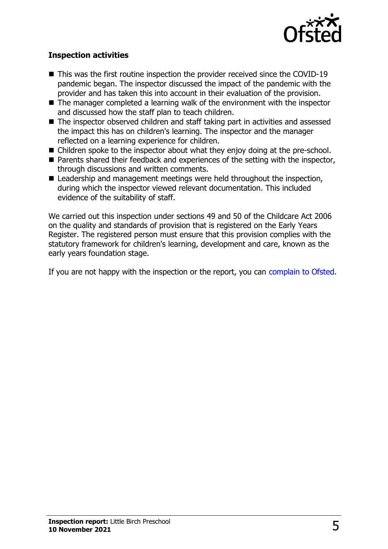

#### **Inspection activities**

- $\blacksquare$  This was the first routine inspection the provider received since the COVID-19 pandemic began. The inspector discussed the impact of the pandemic with the provider and has taken this into account in their evaluation of the provision.
- $\blacksquare$  The manager completed a learning walk of the environment with the inspector and discussed how the staff plan to teach children.
- The inspector observed children and staff taking part in activities and assessed the impact this has on children's learning. The inspector and the manager reflected on a learning experience for children.
- $\blacksquare$  Children spoke to the inspector about what they enjoy doing at the pre-school.
- $\blacksquare$  Parents shared their feedback and experiences of the setting with the inspector, through discussions and written comments.
- $\blacksquare$  Leadership and management meetings were held throughout the inspection, during which the inspector viewed relevant documentation. This included evidence of the suitability of staff.

We carried out this inspection under sections 49 and 50 of the Childcare Act 2006 on the quality and standards of provision that is registered on the Early Years Register. The registered person must ensure that this provision complies with the statutory framework for children's learning, development and care, known as the early years foundation stage.

If you are not happy with the inspection or the report, you can [complain to Ofsted](http://www.gov.uk/complain-ofsted-report).